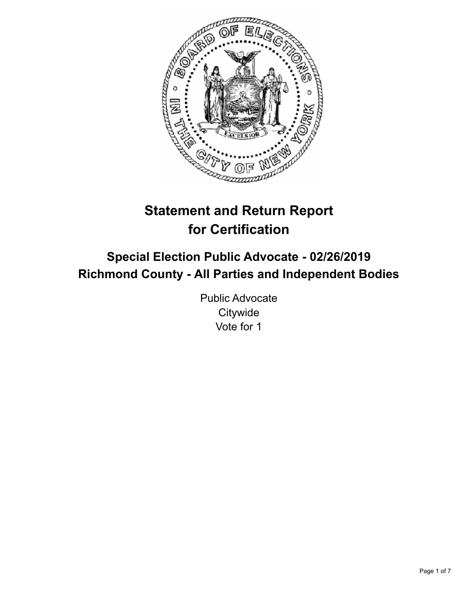

# **Statement and Return Report for Certification**

## **Special Election Public Advocate - 02/26/2019 Richmond County - All Parties and Independent Bodies**

Public Advocate **Citywide** Vote for 1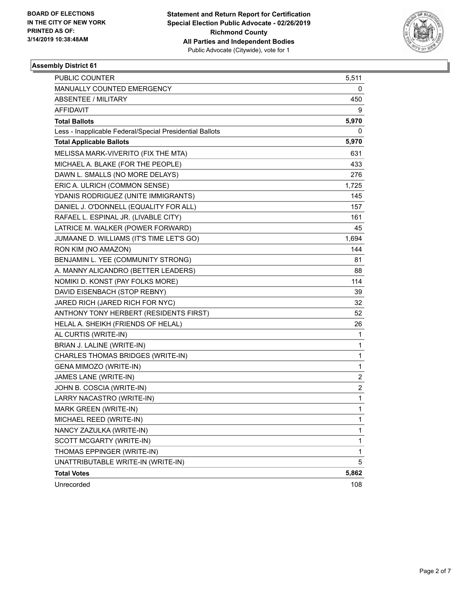

| PUBLIC COUNTER                                           | 5,511                   |
|----------------------------------------------------------|-------------------------|
| MANUALLY COUNTED EMERGENCY                               | 0                       |
| <b>ABSENTEE / MILITARY</b>                               | 450                     |
| AFFIDAVIT                                                | 9                       |
| <b>Total Ballots</b>                                     | 5,970                   |
| Less - Inapplicable Federal/Special Presidential Ballots | 0                       |
| <b>Total Applicable Ballots</b>                          | 5,970                   |
| MELISSA MARK-VIVERITO (FIX THE MTA)                      | 631                     |
| MICHAEL A. BLAKE (FOR THE PEOPLE)                        | 433                     |
| DAWN L. SMALLS (NO MORE DELAYS)                          | 276                     |
| ERIC A. ULRICH (COMMON SENSE)                            | 1,725                   |
| YDANIS RODRIGUEZ (UNITE IMMIGRANTS)                      | 145                     |
| DANIEL J. O'DONNELL (EQUALITY FOR ALL)                   | 157                     |
| RAFAEL L. ESPINAL JR. (LIVABLE CITY)                     | 161                     |
| LATRICE M. WALKER (POWER FORWARD)                        | 45                      |
| JUMAANE D. WILLIAMS (IT'S TIME LET'S GO)                 | 1,694                   |
| RON KIM (NO AMAZON)                                      | 144                     |
| BENJAMIN L. YEE (COMMUNITY STRONG)                       | 81                      |
| A. MANNY ALICANDRO (BETTER LEADERS)                      | 88                      |
| NOMIKI D. KONST (PAY FOLKS MORE)                         | 114                     |
| DAVID EISENBACH (STOP REBNY)                             | 39                      |
| JARED RICH (JARED RICH FOR NYC)                          | 32                      |
| ANTHONY TONY HERBERT (RESIDENTS FIRST)                   | 52                      |
| HELAL A. SHEIKH (FRIENDS OF HELAL)                       | 26                      |
| AL CURTIS (WRITE-IN)                                     | 1                       |
| BRIAN J. LALINE (WRITE-IN)                               | $\mathbf{1}$            |
| CHARLES THOMAS BRIDGES (WRITE-IN)                        | $\mathbf{1}$            |
| GENA MIMOZO (WRITE-IN)                                   | $\mathbf{1}$            |
| JAMES LANE (WRITE-IN)                                    | $\overline{c}$          |
| JOHN B. COSCIA (WRITE-IN)                                | $\overline{\mathbf{c}}$ |
| LARRY NACASTRO (WRITE-IN)                                | $\mathbf{1}$            |
| MARK GREEN (WRITE-IN)                                    | 1                       |
| MICHAEL REED (WRITE-IN)                                  | 1                       |
| NANCY ZAZULKA (WRITE-IN)                                 | 1                       |
| SCOTT MCGARTY (WRITE-IN)                                 | $\mathbf{1}$            |
| THOMAS EPPINGER (WRITE-IN)                               | $\mathbf{1}$            |
| UNATTRIBUTABLE WRITE-IN (WRITE-IN)                       | 5                       |
| <b>Total Votes</b>                                       | 5,862                   |
| Unrecorded                                               | 108                     |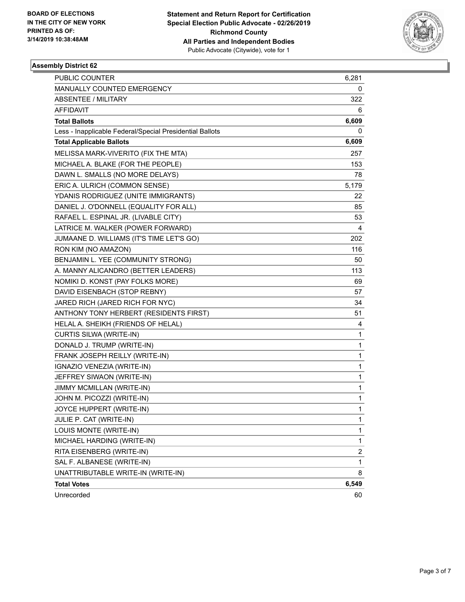

| PUBLIC COUNTER                                           | 6,281                   |
|----------------------------------------------------------|-------------------------|
| MANUALLY COUNTED EMERGENCY                               | 0                       |
| <b>ABSENTEE / MILITARY</b>                               | 322                     |
| AFFIDAVIT                                                | 6                       |
| <b>Total Ballots</b>                                     | 6,609                   |
| Less - Inapplicable Federal/Special Presidential Ballots | 0                       |
| <b>Total Applicable Ballots</b>                          | 6,609                   |
| MELISSA MARK-VIVERITO (FIX THE MTA)                      | 257                     |
| MICHAEL A. BLAKE (FOR THE PEOPLE)                        | 153                     |
| DAWN L. SMALLS (NO MORE DELAYS)                          | 78                      |
| ERIC A. ULRICH (COMMON SENSE)                            | 5,179                   |
| YDANIS RODRIGUEZ (UNITE IMMIGRANTS)                      | 22                      |
| DANIEL J. O'DONNELL (EQUALITY FOR ALL)                   | 85                      |
| RAFAEL L. ESPINAL JR. (LIVABLE CITY)                     | 53                      |
| LATRICE M. WALKER (POWER FORWARD)                        | 4                       |
| JUMAANE D. WILLIAMS (IT'S TIME LET'S GO)                 | 202                     |
| RON KIM (NO AMAZON)                                      | 116                     |
| BENJAMIN L. YEE (COMMUNITY STRONG)                       | 50                      |
| A. MANNY ALICANDRO (BETTER LEADERS)                      | 113                     |
| NOMIKI D. KONST (PAY FOLKS MORE)                         | 69                      |
| DAVID EISENBACH (STOP REBNY)                             | 57                      |
| JARED RICH (JARED RICH FOR NYC)                          | 34                      |
| ANTHONY TONY HERBERT (RESIDENTS FIRST)                   | 51                      |
| HELAL A. SHEIKH (FRIENDS OF HELAL)                       | 4                       |
| CURTIS SILWA (WRITE-IN)                                  | 1                       |
| DONALD J. TRUMP (WRITE-IN)                               | 1                       |
| FRANK JOSEPH REILLY (WRITE-IN)                           | 1                       |
| IGNAZIO VENEZIA (WRITE-IN)                               | 1                       |
| JEFFREY SIWAON (WRITE-IN)                                | 1                       |
| JIMMY MCMILLAN (WRITE-IN)                                | 1                       |
| JOHN M. PICOZZI (WRITE-IN)                               | 1                       |
| JOYCE HUPPERT (WRITE-IN)                                 | 1                       |
| JULIE P. CAT (WRITE-IN)                                  | 1                       |
| LOUIS MONTE (WRITE-IN)                                   | 1                       |
| MICHAEL HARDING (WRITE-IN)                               | 1                       |
| RITA EISENBERG (WRITE-IN)                                | $\overline{\mathbf{c}}$ |
| SAL F. ALBANESE (WRITE-IN)                               | 1                       |
| UNATTRIBUTABLE WRITE-IN (WRITE-IN)                       | 8                       |
| <b>Total Votes</b>                                       | 6,549                   |
| Unrecorded                                               | 60                      |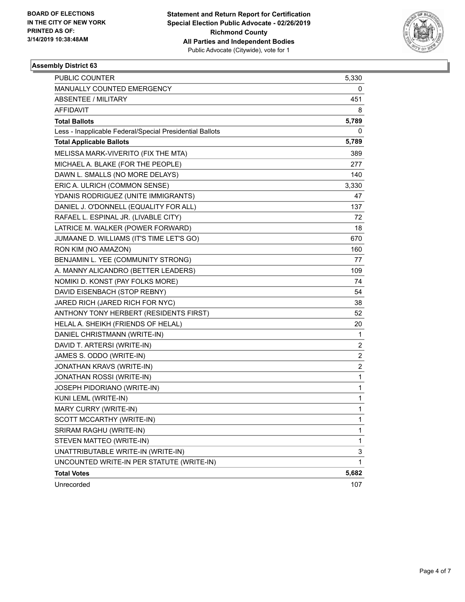

| PUBLIC COUNTER                                           | 5,330                   |
|----------------------------------------------------------|-------------------------|
| MANUALLY COUNTED EMERGENCY                               | 0                       |
| <b>ABSENTEE / MILITARY</b>                               | 451                     |
| AFFIDAVIT                                                | 8                       |
| <b>Total Ballots</b>                                     | 5,789                   |
| Less - Inapplicable Federal/Special Presidential Ballots | 0                       |
| <b>Total Applicable Ballots</b>                          | 5,789                   |
| MELISSA MARK-VIVERITO (FIX THE MTA)                      | 389                     |
| MICHAEL A. BLAKE (FOR THE PEOPLE)                        | 277                     |
| DAWN L. SMALLS (NO MORE DELAYS)                          | 140                     |
| ERIC A. ULRICH (COMMON SENSE)                            | 3,330                   |
| YDANIS RODRIGUEZ (UNITE IMMIGRANTS)                      | 47                      |
| DANIEL J. O'DONNELL (EQUALITY FOR ALL)                   | 137                     |
| RAFAEL L. ESPINAL JR. (LIVABLE CITY)                     | 72                      |
| LATRICE M. WALKER (POWER FORWARD)                        | 18                      |
| JUMAANE D. WILLIAMS (IT'S TIME LET'S GO)                 | 670                     |
| RON KIM (NO AMAZON)                                      | 160                     |
| BENJAMIN L. YEE (COMMUNITY STRONG)                       | 77                      |
| A. MANNY ALICANDRO (BETTER LEADERS)                      | 109                     |
| NOMIKI D. KONST (PAY FOLKS MORE)                         | 74                      |
| DAVID EISENBACH (STOP REBNY)                             | 54                      |
| JARED RICH (JARED RICH FOR NYC)                          | 38                      |
| ANTHONY TONY HERBERT (RESIDENTS FIRST)                   | 52                      |
| HELAL A. SHEIKH (FRIENDS OF HELAL)                       | 20                      |
| DANIEL CHRISTMANN (WRITE-IN)                             | 1                       |
| DAVID T. ARTERSI (WRITE-IN)                              | $\overline{c}$          |
| JAMES S. ODDO (WRITE-IN)                                 | $\overline{\mathbf{c}}$ |
| JONATHAN KRAVS (WRITE-IN)                                | $\overline{c}$          |
| JONATHAN ROSSI (WRITE-IN)                                | $\mathbf{1}$            |
| JOSEPH PIDORIANO (WRITE-IN)                              | 1                       |
| KUNI LEML (WRITE-IN)                                     | 1                       |
| MARY CURRY (WRITE-IN)                                    | 1                       |
| SCOTT MCCARTHY (WRITE-IN)                                | 1                       |
| SRIRAM RAGHU (WRITE-IN)                                  | 1                       |
| STEVEN MATTEO (WRITE-IN)                                 | $\mathbf{1}$            |
| UNATTRIBUTABLE WRITE-IN (WRITE-IN)                       | 3                       |
| UNCOUNTED WRITE-IN PER STATUTE (WRITE-IN)                | $\mathbf{1}$            |
| <b>Total Votes</b>                                       | 5,682                   |
| Unrecorded                                               | 107                     |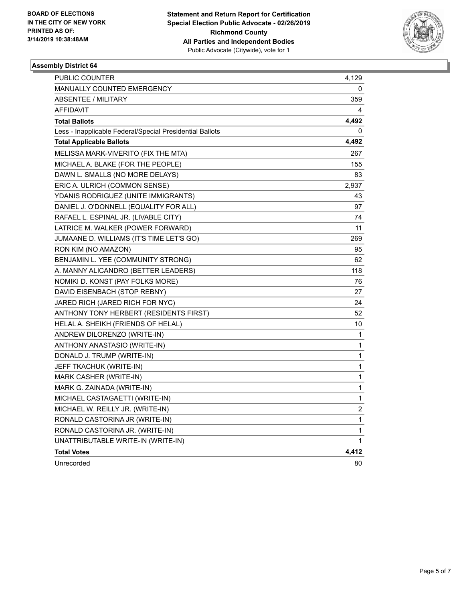

| PUBLIC COUNTER                                           | 4,129                   |
|----------------------------------------------------------|-------------------------|
| <b>MANUALLY COUNTED EMERGENCY</b>                        | 0                       |
| <b>ABSENTEE / MILITARY</b>                               | 359                     |
| <b>AFFIDAVIT</b>                                         | 4                       |
| <b>Total Ballots</b>                                     | 4,492                   |
| Less - Inapplicable Federal/Special Presidential Ballots | 0                       |
| <b>Total Applicable Ballots</b>                          | 4,492                   |
| MELISSA MARK-VIVERITO (FIX THE MTA)                      | 267                     |
| MICHAEL A. BLAKE (FOR THE PEOPLE)                        | 155                     |
| DAWN L. SMALLS (NO MORE DELAYS)                          | 83                      |
| ERIC A. ULRICH (COMMON SENSE)                            | 2,937                   |
| YDANIS RODRIGUEZ (UNITE IMMIGRANTS)                      | 43                      |
| DANIEL J. O'DONNELL (EQUALITY FOR ALL)                   | 97                      |
| RAFAEL L. ESPINAL JR. (LIVABLE CITY)                     | 74                      |
| LATRICE M. WALKER (POWER FORWARD)                        | 11                      |
| JUMAANE D. WILLIAMS (IT'S TIME LET'S GO)                 | 269                     |
| RON KIM (NO AMAZON)                                      | 95                      |
| BENJAMIN L. YEE (COMMUNITY STRONG)                       | 62                      |
| A. MANNY ALICANDRO (BETTER LEADERS)                      | 118                     |
| NOMIKI D. KONST (PAY FOLKS MORE)                         | 76                      |
| DAVID EISENBACH (STOP REBNY)                             | 27                      |
| JARED RICH (JARED RICH FOR NYC)                          | 24                      |
| ANTHONY TONY HERBERT (RESIDENTS FIRST)                   | 52                      |
| HELAL A. SHEIKH (FRIENDS OF HELAL)                       | 10                      |
| ANDREW DILORENZO (WRITE-IN)                              | 1                       |
| ANTHONY ANASTASIO (WRITE-IN)                             | 1                       |
| DONALD J. TRUMP (WRITE-IN)                               | 1                       |
| JEFF TKACHUK (WRITE-IN)                                  | 1                       |
| <b>MARK CASHER (WRITE-IN)</b>                            | 1                       |
| MARK G. ZAINADA (WRITE-IN)                               | 1                       |
| MICHAEL CASTAGAETTI (WRITE-IN)                           | 1                       |
| MICHAEL W. REILLY JR. (WRITE-IN)                         | $\overline{\mathbf{c}}$ |
| RONALD CASTORINA JR (WRITE-IN)                           | 1                       |
| RONALD CASTORINA JR. (WRITE-IN)                          | 1                       |
| UNATTRIBUTABLE WRITE-IN (WRITE-IN)                       | 1                       |
| <b>Total Votes</b>                                       | 4,412                   |
| Unrecorded                                               | 80                      |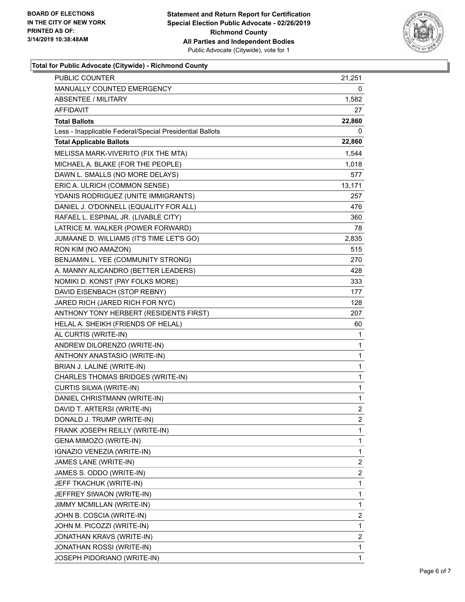

### **Total for Public Advocate (Citywide) - Richmond County**

| PUBLIC COUNTER                                           | 21,251                  |
|----------------------------------------------------------|-------------------------|
| MANUALLY COUNTED EMERGENCY                               | 0                       |
| <b>ABSENTEE / MILITARY</b>                               | 1,582                   |
| AFFIDAVIT                                                | 27                      |
| <b>Total Ballots</b>                                     | 22,860                  |
| Less - Inapplicable Federal/Special Presidential Ballots | 0                       |
| <b>Total Applicable Ballots</b>                          | 22,860                  |
| MELISSA MARK-VIVERITO (FIX THE MTA)                      | 1,544                   |
| MICHAEL A. BLAKE (FOR THE PEOPLE)                        | 1,018                   |
| DAWN L. SMALLS (NO MORE DELAYS)                          | 577                     |
| ERIC A. ULRICH (COMMON SENSE)                            | 13,171                  |
| YDANIS RODRIGUEZ (UNITE IMMIGRANTS)                      | 257                     |
| DANIEL J. O'DONNELL (EQUALITY FOR ALL)                   | 476                     |
| RAFAEL L. ESPINAL JR. (LIVABLE CITY)                     | 360                     |
| LATRICE M. WALKER (POWER FORWARD)                        | 78                      |
| JUMAANE D. WILLIAMS (IT'S TIME LET'S GO)                 | 2,835                   |
| RON KIM (NO AMAZON)                                      | 515                     |
| BENJAMIN L. YEE (COMMUNITY STRONG)                       | 270                     |
| A. MANNY ALICANDRO (BETTER LEADERS)                      | 428                     |
| NOMIKI D. KONST (PAY FOLKS MORE)                         | 333                     |
| DAVID EISENBACH (STOP REBNY)                             | 177                     |
| JARED RICH (JARED RICH FOR NYC)                          | 128                     |
| ANTHONY TONY HERBERT (RESIDENTS FIRST)                   | 207                     |
| HELAL A. SHEIKH (FRIENDS OF HELAL)                       | 60                      |
| AL CURTIS (WRITE-IN)                                     | 1                       |
| ANDREW DILORENZO (WRITE-IN)                              | 1                       |
| ANTHONY ANASTASIO (WRITE-IN)                             | 1                       |
| BRIAN J. LALINE (WRITE-IN)                               | 1                       |
| CHARLES THOMAS BRIDGES (WRITE-IN)                        | 1                       |
| <b>CURTIS SILWA (WRITE-IN)</b>                           | 1                       |
| DANIEL CHRISTMANN (WRITE-IN)                             | 1                       |
| DAVID T. ARTERSI (WRITE-IN)                              | $\overline{c}$          |
| DONALD J. TRUMP (WRITE-IN)                               | $\overline{2}$          |
| FRANK JOSEPH REILLY (WRITE-IN)                           | 1                       |
| GENA MIMOZO (WRITE-IN)                                   | 1                       |
| IGNAZIO VENEZIA (WRITE-IN)                               | 1                       |
| JAMES LANE (WRITE-IN)                                    | 2                       |
| JAMES S. ODDO (WRITE-IN)                                 | $\overline{\mathbf{c}}$ |
| JEFF TKACHUK (WRITE-IN)                                  | 1                       |
| JEFFREY SIWAON (WRITE-IN)                                | 1                       |
| JIMMY MCMILLAN (WRITE-IN)                                | 1                       |
| JOHN B. COSCIA (WRITE-IN)                                | 2                       |
| JOHN M. PICOZZI (WRITE-IN)                               | 1                       |
| JONATHAN KRAVS (WRITE-IN)                                | $\overline{\mathbf{c}}$ |
| JONATHAN ROSSI (WRITE-IN)                                | 1                       |
| JOSEPH PIDORIANO (WRITE-IN)                              | 1                       |